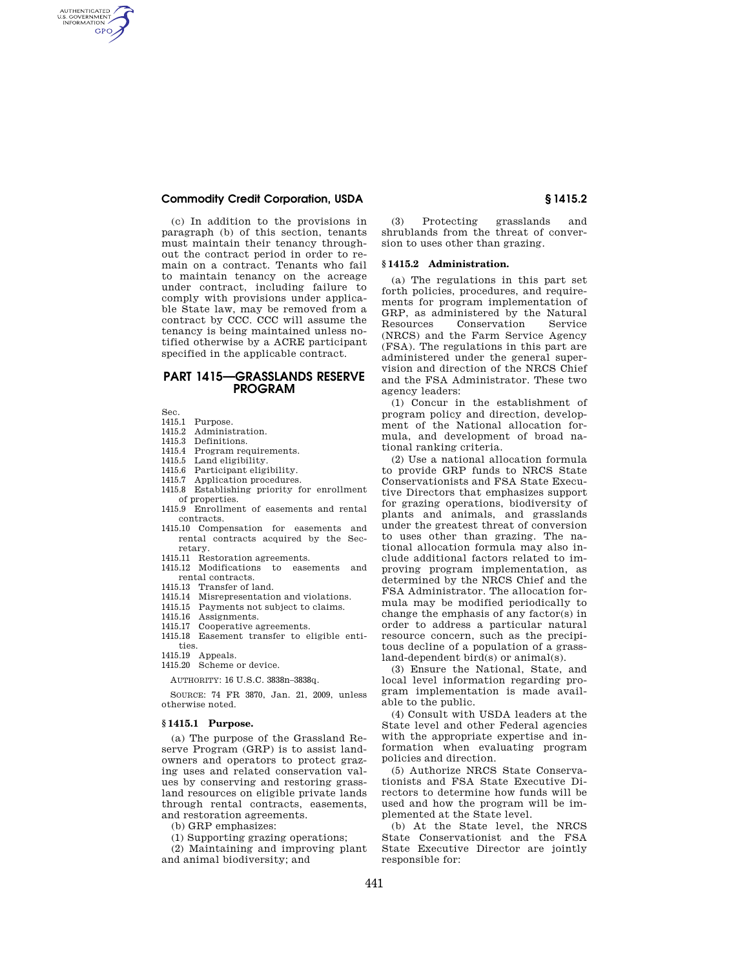# **Commodity Credit Corporation, USDA § 1415.2**

(c) In addition to the provisions in paragraph (b) of this section, tenants must maintain their tenancy throughout the contract period in order to remain on a contract. Tenants who fail to maintain tenancy on the acreage under contract, including failure to comply with provisions under applicable State law, may be removed from a contract by CCC. CCC will assume the tenancy is being maintained unless notified otherwise by a ACRE participant specified in the applicable contract.

# **PART 1415—GRASSLANDS RESERVE PROGRAM**

Sec.

AUTHENTICATED<br>U.S. GOVERNMENT<br>INFORMATION **GPO** 

- 1415.1 Purpose.
- 1415.2 Administration.
- 1415.3 Definitions.
- 1415.4 Program requirements.
- 1415.5 Land eligibility.
- 1415.6 Participant eligibility.
- 1415.7 Application procedures.
- 1415.8 Establishing priority for enrollment of properties.
- 1415.9 Enrollment of easements and rental contracts.
- 1415.10 Compensation for easements and rental contracts acquired by the Secretary.
- 1415.11 Restoration agreements.
- 1415.12 Modifications to easements and rental contracts.
- 1415.13 Transfer of land.
- 1415.14 Misrepresentation and violations.<br>1415.15 Payments not subject to claims.
- Payments not subject to claims.
- 1415.16 Assignments.
- 1415.17 Cooperative agreements.
- 1415.18 Easement transfer to eligible entities.

1415.19 Appeals.

1415.20 Scheme or device.

AUTHORITY: 16 U.S.C. 3838n–3838q.

SOURCE: 74 FR 3870, Jan. 21, 2009, unless otherwise noted.

#### **§ 1415.1 Purpose.**

(a) The purpose of the Grassland Reserve Program (GRP) is to assist landowners and operators to protect grazing uses and related conservation values by conserving and restoring grassland resources on eligible private lands through rental contracts, easements, and restoration agreements.

(b) GRP emphasizes:

(1) Supporting grazing operations;

(2) Maintaining and improving plant and animal biodiversity; and

(3) Protecting grasslands and shrublands from the threat of conversion to uses other than grazing.

#### **§ 1415.2 Administration.**

(a) The regulations in this part set forth policies, procedures, and requirements for program implementation of GRP, as administered by the Natural Resources Conservation Service (NRCS) and the Farm Service Agency (FSA). The regulations in this part are administered under the general supervision and direction of the NRCS Chief and the FSA Administrator. These two agency leaders:

(1) Concur in the establishment of program policy and direction, development of the National allocation formula, and development of broad national ranking criteria.

(2) Use a national allocation formula to provide GRP funds to NRCS State Conservationists and FSA State Executive Directors that emphasizes support for grazing operations, biodiversity of plants and animals, and grasslands under the greatest threat of conversion to uses other than grazing. The national allocation formula may also include additional factors related to improving program implementation, as determined by the NRCS Chief and the FSA Administrator. The allocation formula may be modified periodically to change the emphasis of any factor(s) in order to address a particular natural resource concern, such as the precipitous decline of a population of a grassland-dependent bird(s) or animal(s).

(3) Ensure the National, State, and local level information regarding program implementation is made available to the public.

(4) Consult with USDA leaders at the State level and other Federal agencies with the appropriate expertise and information when evaluating program policies and direction.

(5) Authorize NRCS State Conservationists and FSA State Executive Directors to determine how funds will be used and how the program will be implemented at the State level.

(b) At the State level, the NRCS State Conservationist and the FSA State Executive Director are jointly responsible for: